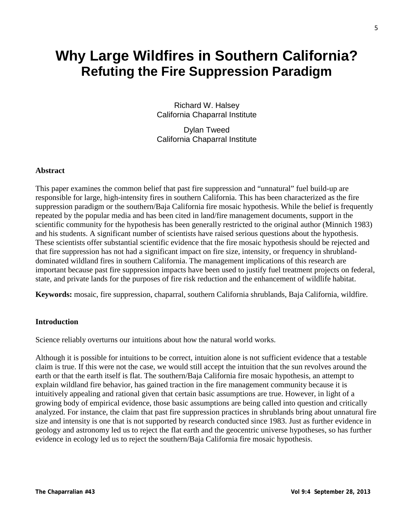# **Why Large Wildfires in Southern California? Refuting the Fire Suppression Paradigm**

Richard W. Halsey California Chaparral Institute

Dylan Tweed California Chaparral Institute

#### **Abstract**

This paper examines the common belief that past fire suppression and "unnatural" fuel build-up are responsible for large, high-intensity fires in southern California. This has been characterized as the fire suppression paradigm or the southern/Baja California fire mosaic hypothesis. While the belief is frequently repeated by the popular media and has been cited in land/fire management documents, support in the scientific community for the hypothesis has been generally restricted to the original author (Minnich 1983) and his students. A significant number of scientists have raised serious questions about the hypothesis. These scientists offer substantial scientific evidence that the fire mosaic hypothesis should be rejected and that fire suppression has not had a significant impact on fire size, intensity, or frequency in shrublanddominated wildland fires in southern California. The management implications of this research are important because past fire suppression impacts have been used to justify fuel treatment projects on federal, state, and private lands for the purposes of fire risk reduction and the enhancement of wildlife habitat.

**Keywords:** mosaic, fire suppression, chaparral, southern California shrublands, Baja California, wildfire.

#### **Introduction**

Science reliably overturns our intuitions about how the natural world works.

Although it is possible for intuitions to be correct, intuition alone is not sufficient evidence that a testable claim is true. If this were not the case, we would still accept the intuition that the sun revolves around the earth or that the earth itself is flat. The southern/Baja California fire mosaic hypothesis, an attempt to explain wildland fire behavior, has gained traction in the fire management community because it is intuitively appealing and rational given that certain basic assumptions are true. However, in light of a growing body of empirical evidence, those basic assumptions are being called into question and critically analyzed. For instance, the claim that past fire suppression practices in shrublands bring about unnatural fire size and intensity is one that is not supported by research conducted since 1983. Just as further evidence in geology and astronomy led us to reject the flat earth and the geocentric universe hypotheses, so has further evidence in ecology led us to reject the southern/Baja California fire mosaic hypothesis.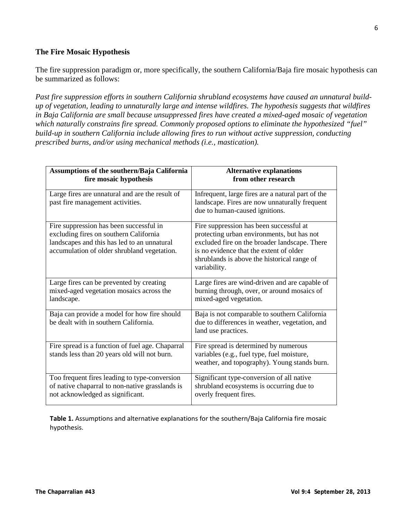## **The Fire Mosaic Hypothesis**

The fire suppression paradigm or, more specifically, the southern California/Baja fire mosaic hypothesis can be summarized as follows:

*Past fire suppression efforts in southern California shrubland ecosystems have caused an unnatural buildup of vegetation, leading to unnaturally large and intense wildfires. The hypothesis suggests that wildfires in Baja California are small because unsuppressed fires have created a mixed-aged mosaic of vegetation which naturally constrains fire spread. Commonly proposed options to eliminate the hypothesized "fuel" build-up in southern California include allowing fires to run without active suppression, conducting prescribed burns, and/or using mechanical methods (i.e., mastication).*

| Assumptions of the southern/Baja California<br>fire mosaic hypothesis                                                                                                           | <b>Alternative explanations</b><br>from other research                                                                                                                                                                                           |
|---------------------------------------------------------------------------------------------------------------------------------------------------------------------------------|--------------------------------------------------------------------------------------------------------------------------------------------------------------------------------------------------------------------------------------------------|
| Large fires are unnatural and are the result of<br>past fire management activities.                                                                                             | Infrequent, large fires are a natural part of the<br>landscape. Fires are now unnaturally frequent<br>due to human-caused ignitions.                                                                                                             |
| Fire suppression has been successful in<br>excluding fires on southern California<br>landscapes and this has led to an unnatural<br>accumulation of older shrubland vegetation. | Fire suppression has been successful at<br>protecting urban environments, but has not<br>excluded fire on the broader landscape. There<br>is no evidence that the extent of older<br>shrublands is above the historical range of<br>variability. |
| Large fires can be prevented by creating<br>mixed-aged vegetation mosaics across the<br>landscape.                                                                              | Large fires are wind-driven and are capable of<br>burning through, over, or around mosaics of<br>mixed-aged vegetation.                                                                                                                          |
| Baja can provide a model for how fire should<br>be dealt with in southern California.                                                                                           | Baja is not comparable to southern California<br>due to differences in weather, vegetation, and<br>land use practices.                                                                                                                           |
| Fire spread is a function of fuel age. Chaparral<br>stands less than 20 years old will not burn.                                                                                | Fire spread is determined by numerous<br>variables (e.g., fuel type, fuel moisture,<br>weather, and topography). Young stands burn.                                                                                                              |
| Too frequent fires leading to type-conversion<br>of native chaparral to non-native grasslands is<br>not acknowledged as significant.                                            | Significant type-conversion of all native<br>shrubland ecosystems is occurring due to<br>overly frequent fires.                                                                                                                                  |

**Table 1.** Assumptions and alternative explanations for the southern/Baja California fire mosaic hypothesis.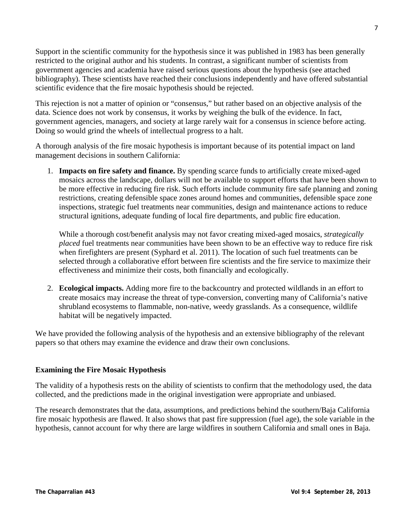Support in the scientific community for the hypothesis since it was published in 1983 has been generally restricted to the original author and his students. In contrast, a significant number of scientists from government agencies and academia have raised serious questions about the hypothesis (see attached bibliography). These scientists have reached their conclusions independently and have offered substantial scientific evidence that the fire mosaic hypothesis should be rejected.

This rejection is not a matter of opinion or "consensus," but rather based on an objective analysis of the data. Science does not work by consensus, it works by weighing the bulk of the evidence. In fact, government agencies, managers, and society at large rarely wait for a consensus in science before acting. Doing so would grind the wheels of intellectual progress to a halt.

A thorough analysis of the fire mosaic hypothesis is important because of its potential impact on land management decisions in southern California:

1. **Impacts on fire safety and finance.** By spending scarce funds to artificially create mixed-aged mosaics across the landscape, dollars will not be available to support efforts that have been shown to be more effective in reducing fire risk. Such efforts include community fire safe planning and zoning restrictions, creating defensible space zones around homes and communities, defensible space zone inspections, strategic fuel treatments near communities, design and maintenance actions to reduce structural ignitions, adequate funding of local fire departments, and public fire education.

While a thorough cost/benefit analysis may not favor creating mixed-aged mosaics, *strategically placed* fuel treatments near communities have been shown to be an effective way to reduce fire risk when firefighters are present (Syphard et al. 2011). The location of such fuel treatments can be selected through a collaborative effort between fire scientists and the fire service to maximize their effectiveness and minimize their costs, both financially and ecologically.

2. **Ecological impacts.** Adding more fire to the backcountry and protected wildlands in an effort to create mosaics may increase the threat of type-conversion, converting many of California's native shrubland ecosystems to flammable, non-native, weedy grasslands. As a consequence, wildlife habitat will be negatively impacted.

We have provided the following analysis of the hypothesis and an extensive bibliography of the relevant papers so that others may examine the evidence and draw their own conclusions.

## **Examining the Fire Mosaic Hypothesis**

The validity of a hypothesis rests on the ability of scientists to confirm that the methodology used, the data collected, and the predictions made in the original investigation were appropriate and unbiased.

The research demonstrates that the data, assumptions, and predictions behind the southern/Baja California fire mosaic hypothesis are flawed. It also shows that past fire suppression (fuel age), the sole variable in the hypothesis, cannot account for why there are large wildfires in southern California and small ones in Baja.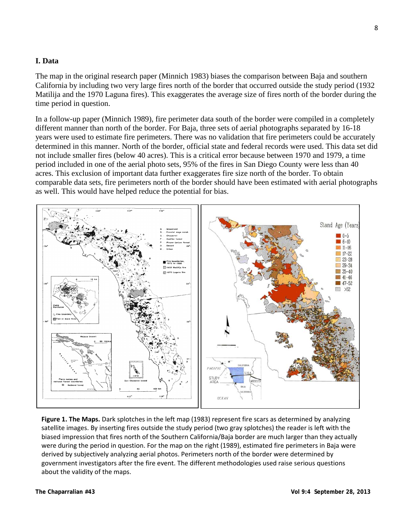# **I. Data**

The map in the original research paper (Minnich 1983) biases the comparison between Baja and southern California by including two very large fires north of the border that occurred outside the study period (1932 Matilija and the 1970 Laguna fires). This exaggerates the average size of fires north of the border during the time period in question.

In a follow-up paper (Minnich 1989), fire perimeter data south of the border were compiled in a completely different manner than north of the border. For Baja, three sets of aerial photographs separated by 16-18 years were used to estimate fire perimeters. There was no validation that fire perimeters could be accurately determined in this manner. North of the border, official state and federal records were used. This data set did not include smaller fires (below 40 acres). This is a critical error because between 1970 and 1979, a time period included in one of the aerial photo sets, 95% of the fires in San Diego County were less than 40 acres. This exclusion of important data further exaggerates fire size north of the border. To obtain comparable data sets, fire perimeters north of the border should have been estimated with aerial photographs as well. This would have helped reduce the potential for bias.



**Figure 1. The Maps.** Dark splotches in the left map (1983) represent fire scars as determined by analyzing satellite images. By inserting fires outside the study period (two gray splotches) the reader is left with the biased impression that fires north of the Southern California/Baja border are much larger than they actually were during the period in question. For the map on the right (1989), estimated fire perimeters in Baja were derived by subjectively analyzing aerial photos. Perimeters north of the border were determined by government investigators after the fire event. The different methodologies used raise serious questions about the validity of the maps.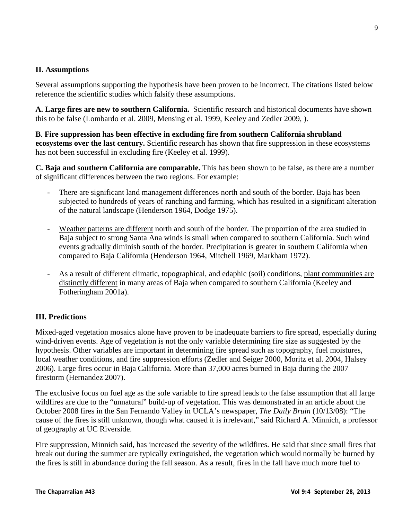# **II. Assumptions**

Several assumptions supporting the hypothesis have been proven to be incorrect. The citations listed below reference the scientific studies which falsify these assumptions.

**A. Large fires are new to southern California.** Scientific research and historical documents have shown this to be false (Lombardo et al. 2009, Mensing et al. 1999, Keeley and Zedler 2009, ).

**B**. **Fire suppression has been effective in excluding fire from southern California shrubland ecosystems over the last century.** Scientific research has shown that fire suppression in these ecosystems has not been successful in excluding fire (Keeley et al. 1999).

**C. Baja and southern California are comparable.** This has been shown to be false, as there are a number of significant differences between the two regions. For example:

- There are significant land management differences north and south of the border. Baja has been subjected to hundreds of years of ranching and farming, which has resulted in a significant alteration of the natural landscape (Henderson 1964, Dodge 1975).
- Weather patterns are different north and south of the border. The proportion of the area studied in Baja subject to strong Santa Ana winds is small when compared to southern California. Such wind events gradually diminish south of the border. Precipitation is greater in southern California when compared to Baja California (Henderson 1964, Mitchell 1969, Markham 1972).
- As a result of different climatic, topographical, and edaphic (soil) conditions, plant communities are distinctly different in many areas of Baja when compared to southern California (Keeley and Fotheringham 2001a).

# **III. Predictions**

Mixed-aged vegetation mosaics alone have proven to be inadequate barriers to fire spread, especially during wind-driven events. Age of vegetation is not the only variable determining fire size as suggested by the hypothesis. Other variables are important in determining fire spread such as topography, fuel moistures, local weather conditions, and fire suppression efforts (Zedler and Seiger 2000, Moritz et al. 2004, Halsey 2006). Large fires occur in Baja California. More than 37,000 acres burned in Baja during the 2007 firestorm (Hernandez 2007).

The exclusive focus on fuel age as the sole variable to fire spread leads to the false assumption that all large wildfires are due to the "unnatural" build-up of vegetation. This was demonstrated in an article about the October 2008 fires in the San Fernando Valley in UCLA's newspaper, *The Daily Bruin* (10/13/08): "The cause of the fires is still unknown, though what caused it is irrelevant," said Richard A. Minnich, a professor of geography at UC Riverside.

Fire suppression, Minnich said, has increased the severity of the wildfires. He said that since small fires that break out during the summer are typically extinguished, the vegetation which would normally be burned by the fires is still in abundance during the fall season. As a result, fires in the fall have much more fuel to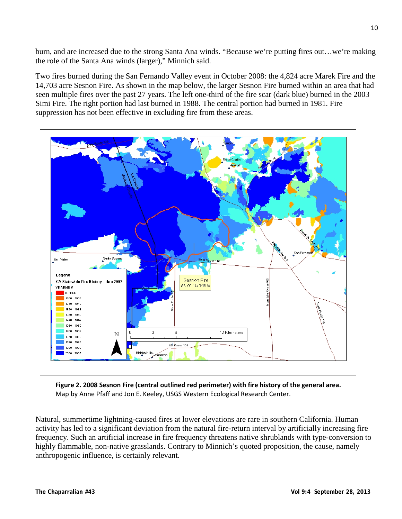burn, and are increased due to the strong Santa Ana winds. "Because we're putting fires out…we're making the role of the Santa Ana winds (larger)," Minnich said.

Two fires burned during the San Fernando Valley event in October 2008: the 4,824 acre Marek Fire and the 14,703 acre Sesnon Fire. As shown in the map below, the larger Sesnon Fire burned within an area that had seen multiple fires over the past 27 years. The left one-third of the fire scar (dark blue) burned in the 2003 Simi Fire. The right portion had last burned in 1988. The central portion had burned in 1981. Fire suppression has not been effective in excluding fire from these areas.



**Figure 2. 2008 Sesnon Fire (central outlined red perimeter) with fire history of the general area.** Map by Anne Pfaff and Jon E. Keeley, USGS Western Ecological Research Center.

Natural, summertime lightning-caused fires at lower elevations are rare in southern California. Human activity has led to a significant deviation from the natural fire-return interval by artificially increasing fire frequency. Such an artificial increase in fire frequency threatens native shrublands with type-conversion to highly flammable, non-native grasslands. Contrary to Minnich's quoted proposition, the cause, namely anthropogenic influence, is certainly relevant.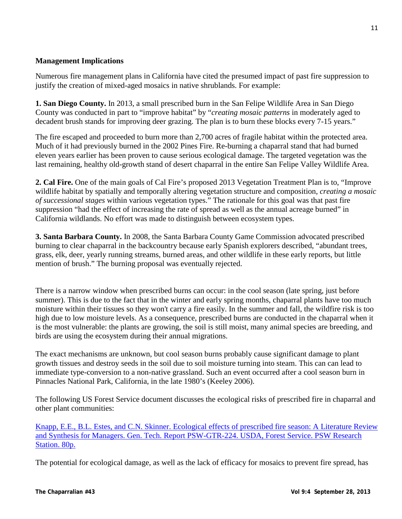# **Management Implications**

Numerous fire management plans in California have cited the presumed impact of past fire suppression to justify the creation of mixed-aged mosaics in native shrublands. For example:

**1. San Diego County.** In 2013, a small prescribed burn in the San Felipe Wildlife Area in San Diego County was conducted in part to "improve habitat" by "*creating mosaic patterns* in moderately aged to decadent brush stands for improving deer grazing. The plan is to burn these blocks every 7-15 years."

The fire escaped and proceeded to burn more than 2,700 acres of fragile habitat within the protected area. Much of it had previously burned in the 2002 Pines Fire. Re-burning a chaparral stand that had burned eleven years earlier has been proven to cause serious ecological damage. The targeted vegetation was the last remaining, healthy old-growth stand of desert chaparral in the entire San Felipe Valley Wildlife Area.

**2. Cal Fire.** One of the main goals of Cal Fire's proposed 2013 Vegetation Treatment Plan is to, "Improve wildlife habitat by spatially and temporally altering vegetation structure and composition, *creating a mosaic of successional stages* within various vegetation types." The rationale for this goal was that past fire suppression "had the effect of increasing the rate of spread as well as the annual acreage burned" in California wildlands. No effort was made to distinguish between ecosystem types.

**3. Santa Barbara County.** In 2008, the Santa Barbara County Game Commission advocated prescribed burning to clear chaparral in the backcountry because early Spanish explorers described, "abundant trees, grass, elk, deer, yearly running streams, burned areas, and other wildlife in these early reports, but little mention of brush." The burning proposal was eventually rejected.

There is a narrow window when prescribed burns can occur: in the cool season (late spring, just before summer). This is due to the fact that in the winter and early spring months, chaparral plants have too much moisture within their tissues so they won't carry a fire easily. In the summer and fall, the wildfire risk is too high due to low moisture levels. As a consequence, prescribed burns are conducted in the chaparral when it is the most vulnerable: the plants are growing, the soil is still moist, many animal species are breeding, and birds are using the ecosystem during their annual migrations.

The exact mechanisms are unknown, but cool season burns probably cause significant damage to plant growth tissues and destroy seeds in the soil due to soil moisture turning into steam. This can can lead to immediate type-conversion to a non-native grassland. Such an event occurred after a cool season burn in Pinnacles National Park, California, in the late 1980's (Keeley 2006).

The following US Forest Service document discusses the ecological risks of prescribed fire in chaparral and other plant communities:

[Knapp, E.E., B.L. Estes, and C.N. Skinner. Ecological effects of prescribed fire season: A Literature Review](http://www.californiachaparral.org/images/Knapp_et_al_Eco_effects_of_prescribed_fire_season_2009.pdf)  [and Synthesis for Managers. Gen. Tech. Report PSW-GTR-224. USDA, Forest Service. PSW Research](http://www.californiachaparral.org/images/Knapp_et_al_Eco_effects_of_prescribed_fire_season_2009.pdf)  [Station. 80p.](http://www.californiachaparral.org/images/Knapp_et_al_Eco_effects_of_prescribed_fire_season_2009.pdf)

The potential for ecological damage, as well as the lack of efficacy for mosaics to prevent fire spread, has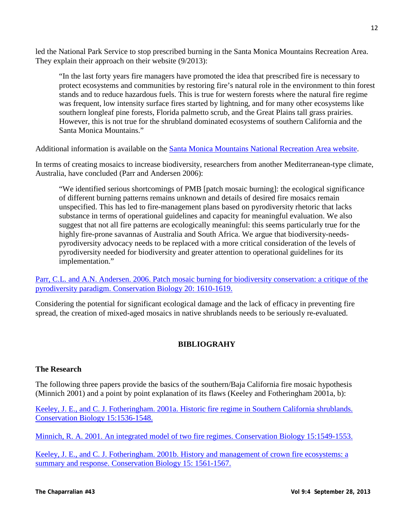led the National Park Service to stop prescribed burning in the Santa Monica Mountains Recreation Area. They explain their approach on their website (9/2013):

"In the last forty years fire managers have promoted the idea that prescribed fire is necessary to protect ecosystems and communities by restoring fire's natural role in the environment to thin forest stands and to reduce hazardous fuels. This is true for western forests where the natural fire regime was frequent, low intensity surface fires started by lightning, and for many other ecosystems like southern longleaf pine forests, Florida palmetto scrub, and the Great Plains tall grass prairies. However, this is not true for the shrubland dominated ecosystems of southern California and the Santa Monica Mountains."

Additional information is available on the [Santa Monica Mountains National Recreation Area website.](http://www.nps.gov/samo/parkmgmt/prescribedfires.htm)

In terms of creating mosaics to increase biodiversity, researchers from another Mediterranean-type climate, Australia, have concluded (Parr and Andersen 2006):

"We identified serious shortcomings of PMB [patch mosaic burning]: the ecological significance of different burning patterns remains unknown and details of desired fire mosaics remain unspecified. This has led to fire-management plans based on pyrodiversity rhetoric that lacks substance in terms of operational guidelines and capacity for meaningful evaluation. We also suggest that not all fire patterns are ecologically meaningful: this seems particularly true for the highly fire-prone savannas of Australia and South Africa. We argue that biodiversity-needspyrodiversity advocacy needs to be replaced with a more critical consideration of the levels of pyrodiversity needed for biodiversity and greater attention to operational guidelines for its implementation."

[Parr, C.L. and A.N. Andersen. 2006. Patch mosaic burning for biodiversity conservation: a critique of the](http://www.californiachaparral.org/images/Parr_and_Andersen-patch-mosaic-burning-biodiversity-conservation-critique_2006.pdf)  [pyrodiversity paradigm. Conservation Biology 20: 1610-1619.](http://www.californiachaparral.org/images/Parr_and_Andersen-patch-mosaic-burning-biodiversity-conservation-critique_2006.pdf)

Considering the potential for significant ecological damage and the lack of efficacy in preventing fire spread, the creation of mixed-aged mosaics in native shrublands needs to be seriously re-evaluated.

# **BIBLIOGRAHY**

## **The Research**

The following three papers provide the basics of the southern/Baja California fire mosaic hypothesis (Minnich 2001) and a point by point explanation of its flaws (Keeley and Fotheringham 2001a, b):

[Keeley, J. E., and C. J. Fotheringham. 2001a. Historic fire regime in Southern California shrublands.](http://www.californiachaparral.org/images/Cons_Bio_Keeley_and_CJ.pdf)  [Conservation Biology 15:1536-1548.](http://www.californiachaparral.org/images/Cons_Bio_Keeley_and_CJ.pdf)

[Minnich, R. A. 2001. An integrated model of two fire regimes. Conservation](http://www.californiachaparral.org/images/Minnich_An_Integrated_Model.pdf) Biology 15:1549-1553[.](http://www.californiachaparral.org/images/Minnich_An_Integrated_Model.pdf)

Keeley, J. E., and C. J. Fotheringham. 2001b. History and management of crown fire ecosystems: a summary and response. Conservation Biology 15: 1561-1567.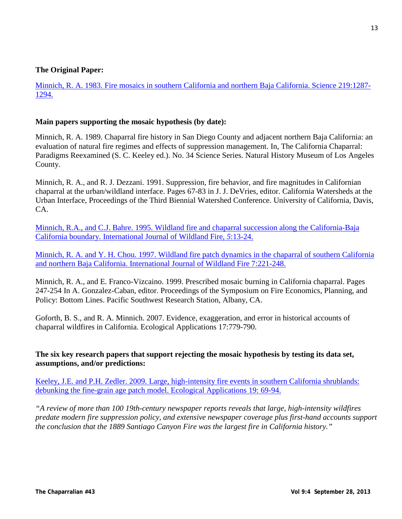## **The Original Paper:**

[Minnich, R. A. 1983. Fire mosaics in southern California and northern Baja California. Science 219:1287-](http://www.californiachaparral.org/images/Minnich_1983_original_paper.pdf) [1294.](http://www.californiachaparral.org/images/Minnich_1983_original_paper.pdf)

#### **Main papers supporting the mosaic hypothesis (by date):**

Minnich, R. A. 1989. Chaparral fire history in San Diego County and adjacent northern Baja California: an evaluation of natural fire regimes and effects of suppression management. In, The California Chaparral: Paradigms Reexamined (S. C. Keeley ed.). No. 34 Science Series. Natural History Museum of Los Angeles County.

Minnich, R. A., and R. J. Dezzani. 1991. Suppression, fire behavior, and fire magnitudes in Californian chaparral at the urban/wildland interface. Pages 67-83 in J. J. DeVries, editor. California Watersheds at the Urban Interface, Proceedings of the Third Biennial Watershed Conference. University of California, Davis, CA.

[Minnich, R.A., and C.J. Bahre. 1995. Wildland fire and chaparral succession along the California-Baja](http://earthsciences.ucr.edu/docs/minnich&bahre_1995.pdf)  [California boundary. International Journal of Wildland Fire](http://earthsciences.ucr.edu/docs/minnich&bahre_1995.pdf)*, 5*:13-24.

Minnich, R. A. and [Y. H. Chou. 1997. Wildland fire patch dynamics in the chaparral of southern California](http://earthsciences.ucr.edu/docs/minnich&chou_1997.pdf)  [and northern Baja California. International Journal of Wildland Fire 7:221-248.](http://earthsciences.ucr.edu/docs/minnich&chou_1997.pdf)

Minnich, R. A., and E. Franco-Vizcaino. 1999. Prescribed mosaic burning in California chaparral. Pages 247-254 In A. Gonzalez-Caban, editor. Proceedings of the Symposium on Fire Economics, Planning, and Policy: Bottom Lines. Pacific Southwest Research Station, Albany, CA.

Goforth, B. S., and R. A. Minnich. 2007. Evidence, exaggeration, and error in historical accounts of chaparral wildfires in California. Ecological Applications 17:779-790.

## **The six key research papers that support rejecting the mosaic hypothesis by testing its data set, assumptions, and/or predictions:**

[Keeley, J.E. and P.H. Zedler. 2009. Large, high-intensity fire events in southern California shrublands:](http://www.californiachaparral.org/images/K2009_Large_Fires_Debunking_EA.pdf)  [debunking the fine-grain age patch model. Ecological Applications 19:](http://www.californiachaparral.org/images/K2009_Large_Fires_Debunking_EA.pdf) 69-94.

*"A review of more than 100 19th-century newspaper reports reveals that large, high-intensity wildfires predate modern fire suppression policy, and extensive newspaper coverage plus first-hand accounts support the conclusion that the 1889 Santiago Canyon Fire was the largest fire in California history."*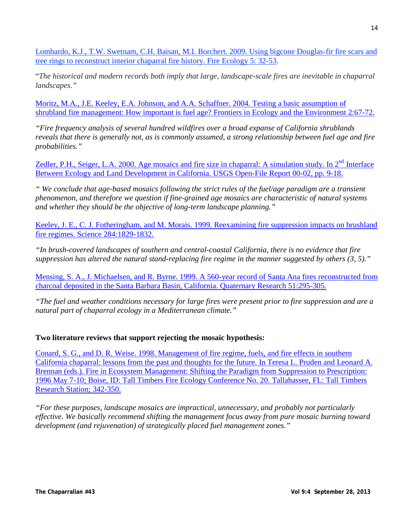[Lombardo, K.J., T.W. Swetnam, C.H. Baisan, M.I. Borchert. 2009. Using bigcone Douglas-fir fire scars and](http://www.californiachaparral.org/images/Lombardo_Big_Cone_Doug_Fir_Chaparral.pdf)  [tree rings to reconstruct interior chaparral fire history. Fire Ecology 5: 32-53.](http://www.californiachaparral.org/images/Lombardo_Big_Cone_Doug_Fir_Chaparral.pdf)

"*The historical and modern records both imply that large, landscape-scale fires are inevitable in chaparral landscapes."*

[Moritz, M.A., J.E. Keeley, E.A. Johnson, and A.A. Schaffner. 2004. Testing a basic assumption of](http://www.californiachaparral.org/images/How_important_is_fuel_age.pdf)  [shrubland fire management: How important is fuel age? Frontiers in Ecology and the Environment 2:67-72.](http://www.californiachaparral.org/images/How_important_is_fuel_age.pdf)

*"Fire frequency analysis of several hundred wildfires over a broad expanse of California shrublands reveals that there is generally not, as is commonly assumed, a strong relationship between fuel age and fire probabilities."*

Zedler, P.H., Seiger, L.A. 2000. Age mosaics and fire size in chaparral: A simulation study. In 2<sup>nd</sup> Interface [Between Ecology and Land Development in California. USGS Open-File Report 00-02, pp. 9-18.](http://www.californiachaparral.org/images/Zedler_2000_firemodel.pdf)

*" We conclude that age-based mosaics following the strict rules of the fuel/age paradigm are a transient phenomenon, and therefore we question if fine-grained age mosaics are characteristic of natural systems and whether they should be the objective of long-term landscape planning."*

Keeley, J. E., C. J. Fotheringham, and M. Morais. 1999. Reexamining fire suppression impacts on brushland [fire regimes. Science 284:1829-1832.](http://www.californiachaparral.org/images/99_Reexamining_Fire_Sup_Impacts.pdf)

*"In brush-covered landscapes of southern and central-coastal California, there is no evidence that fire suppression has altered the natural stand-replacing fire regime in the manner suggested by others (3, 5)."*

[Mensing, S. A., J. Michaelsen, and R. Byrne. 1999. A 560-year record of Santa Ana fires reconstructed from](http://www.californiachaparral.org/images/Santa_Ana_Fires_500_years.pdf)  [charcoal deposited in the Santa Barbara Basin, California. Quaternary Research 51:295-305.](http://www.californiachaparral.org/images/Santa_Ana_Fires_500_years.pdf)

*"The fuel and weather conditions necessary for large fires were present prior to fire suppression and are a natural part of chaparral ecology in a Mediterranean climate."*

# **Two literature reviews that support rejecting the mosaic hypothesis:**

[Conard, S. G., and D. R. Weise. 1998. Management of fire regime, fuels, and fire effects in southern](http://www.californiachaparral.org/images/Management_in_Chaparral_Conard_Weise.pdf)  [California chaparral: lessons from the past and thoughts for the future. In Teresa L. Pruden and Leonard A.](http://www.californiachaparral.org/images/Management_in_Chaparral_Conard_Weise.pdf)  [Brennan \(eds.\). Fire in Ecosystem Management: Shifting the Paradigm from Suppression to Prescription:](http://www.californiachaparral.org/images/Management_in_Chaparral_Conard_Weise.pdf)  [1996 May 7-10; Boise, ID: Tall Timbers Fire Ecology Conference No. 20. Tallahassee, FL: Tall Timbers](http://www.californiachaparral.org/images/Management_in_Chaparral_Conard_Weise.pdf)  [Research Station; 342-350.](http://www.californiachaparral.org/images/Management_in_Chaparral_Conard_Weise.pdf)

*"For these purposes, landscape mosaics are impractical, unnecessary, and probably not particularly effective. We basically recommend shifting the management focus away from pure mosaic burning toward development (and rejuvenation) of strategically placed fuel management zones."*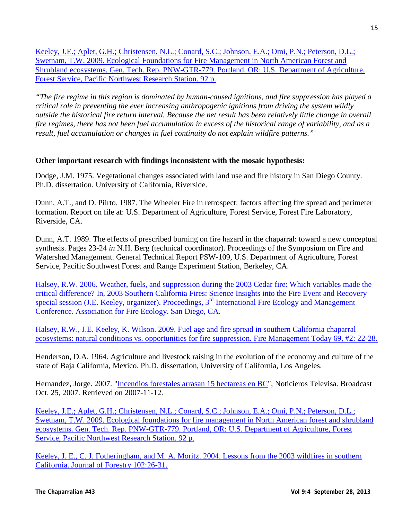[Keeley, J.E.; Aplet, G.H.; Christensen, N.L.; Conard, S.C.; Johnson, E.A.; Omi, P.N.; Peterson, D.L.;](http://www.californiachaparral.org/images/Eco_Found_for_Fire_Management_forest_and_shrublands_Keeley_et_al_pnw_gtr779.pdf)  [Swetnam, T.W. 2009. Ecological Foundations for](http://www.californiachaparral.org/images/Eco_Found_for_Fire_Management_forest_and_shrublands_Keeley_et_al_pnw_gtr779.pdf) Fire Management in North American Forest and Shrubland ecosystems. Gen. [Tech. Rep. PNW-GTR-779. Portland, OR: U.S. Department of Agriculture,](http://www.californiachaparral.org/images/Eco_Found_for_Fire_Management_forest_and_shrublands_Keeley_et_al_pnw_gtr779.pdf) [Forest Service, Pacific Northwest Research Station. 92 p.](http://www.californiachaparral.org/images/Eco_Found_for_Fire_Management_forest_and_shrublands_Keeley_et_al_pnw_gtr779.pdf)

*"The fire regime in this region is dominated by human-caused ignitions, and fire suppression has played a critical role in preventing the ever increasing anthropogenic ignitions from driving the system wildly outside the historical fire return interval. Because the net result has been relatively little change in overall fire regimes, there has not been fuel accumulation in excess of the historical range of variability, and as a result, fuel accumulation or changes in fuel continuity do not explain wildfire patterns."*

# **Other important research with findings inconsistent with the mosaic hypothesis:**

Dodge, J.M. 1975. Vegetational changes associated with land use and fire history in San Diego County. Ph.D. dissertation. University of California, Riverside.

Dunn, A.T., and D. Piirto. 1987. The Wheeler Fire in retrospect: factors affecting fire spread and perimeter formation. Report on file at: U.S. Department of Agriculture, Forest Service, Forest Fire Laboratory, Riverside, CA.

Dunn, A.T. 1989. The effects of prescribed burning on fire hazard in the chaparral: toward a new conceptual synthesis. Pages 23-24 *in* N.H. Berg (technical coordinator). Proceedings of the Symposium on Fire and Watershed Management. General Technical Report PSW-109, U.S. Department of Agriculture, Forest Service, Pacific Southwest Forest and Range Experiment Station, Berkeley, CA.

[Halsey, R.W. 2006. Weather, fuels, and suppression during the 2003 Cedar fire: Which variables made the](http://www.californiachaparral.org/images/AB_Extended_Halsey_II_Final_w_scripps.pdf)  [critical difference? In, 2003 Southern California Fires: Science Insights into the Fire Event and Recovery](http://www.californiachaparral.org/images/AB_Extended_Halsey_II_Final_w_scripps.pdf)  [special session \(J.E. Keeley, organizer\). Proceedings, 3](http://www.californiachaparral.org/images/AB_Extended_Halsey_II_Final_w_scripps.pdf)<sup>rd</sup> International Fire Ecology and Management [Conference. Association for Fire Ecology. San Diego, CA.](http://www.californiachaparral.org/images/AB_Extended_Halsey_II_Final_w_scripps.pdf)

[Halsey, R.W., J.E. Keeley, K. Wilson. 2009. Fuel age and fire spread in southern California chaparral](http://www.californiachaparral.org/images/Halsey_et_al_2009_FMT69-2.pdf)  [ecosystems: natural conditions vs. opportunities for fire suppression. Fire Management Today 69, #2: 22-28.](http://www.californiachaparral.org/images/Halsey_et_al_2009_FMT69-2.pdf)

Henderson, D.A. 1964. Agriculture and livestock raising in the evolution of the economy and culture of the state of Baja California, Mexico. Ph.D. dissertation, University of California, Los Angeles.

Hernandez, Jorge. 2007. ["Incendios forestales arrasan 15 hectareas en BC"](http://www.esmas.com/noticierostelevisa/mexico/672182.html), Noticieros Televisa. Broadcast Oct. 25, 2007. Retrieved on 2007-11-12.

[Keeley, J.E.; Aplet, G.H.; Christensen, N.L.; Conard, S.C.; Johnson, E.A.; Omi, P.N.; Peterson, D.L.;](http://www.californiachaparral.org/images/Eco_Found_for_Fire_Management_forest_and_shrublands_Keeley_et_al_pnw_gtr779.pdf)  Swetnam, T.W. 2009. Ecological foundations for [fire management in North American forest and shrubland](http://www.californiachaparral.org/images/Eco_Found_for_Fire_Management_forest_and_shrublands_Keeley_et_al_pnw_gtr779.pdf)  ecosystems. Gen. [Tech. Rep. PNW-GTR-779. Portland, OR: U.S. Department of Agriculture,](http://www.californiachaparral.org/images/Eco_Found_for_Fire_Management_forest_and_shrublands_Keeley_et_al_pnw_gtr779.pdf) Forest [Service, Pacific Northwest Research Station. 92 p.](http://www.californiachaparral.org/images/Eco_Found_for_Fire_Management_forest_and_shrublands_Keeley_et_al_pnw_gtr779.pdf)

[Keeley, J. E., C. J. Fotheringham, and M. A. Moritz. 2004. Lessons from the 2003 wildfires in southern](http://www.californiachaparral.org/images/Lessons_from_the_October_2003.pdf)  [California. Journal of Forestry 102:26-31.](http://www.californiachaparral.org/images/Lessons_from_the_October_2003.pdf)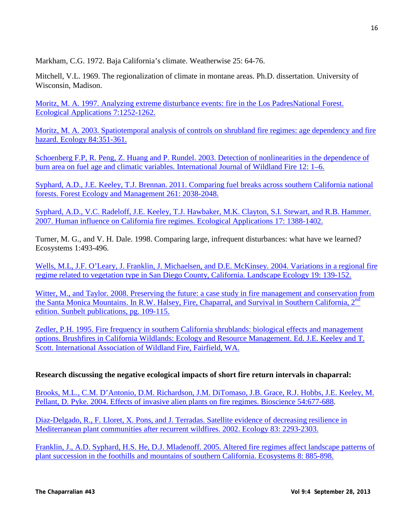Markham, C.G. 1972. Baja California's climate. Weatherwise 25: 64-76.

Mitchell, V.L. 1969. The regionalization of climate in montane areas. Ph.D. dissertation. University of Wisconsin, Madison.

[Moritz, M. A. 1997. Analyzing extreme disturbance events: fire in the Los PadresNational Forest.](http://nature.berkeley.edu/moritzlab/docs/Moritz_1997_EcolAp.pdf)  [Ecological Applications 7:1252-1262.](http://nature.berkeley.edu/moritzlab/docs/Moritz_1997_EcolAp.pdf)

[Moritz, M. A. 2003. Spatiotemporal analysis of controls on shrubland fire regimes: age dependency and fire](http://nature.berkeley.edu/moritzlab/docs/Moritz_2003_Ecology.pdf)  [hazard. Ecology 84:351-361.](http://nature.berkeley.edu/moritzlab/docs/Moritz_2003_Ecology.pdf)

[Schoenberg F.P, R. Peng, Z. Huang and P. Rundel. 2003. Detection of nonlinearities in the dependence of](http://www.californiachaparral.org/images/Peng_and_Rundel.pdf)  [burn area on fuel age and climatic variables. International Journal of Wildland Fire 12: 1–6.](http://www.californiachaparral.org/images/Peng_and_Rundel.pdf)

[Syphard, A.D., J.E. Keeley, T.J. Brennan. 2011. Comparing fuel breaks across southern California national](http://www.californiachaparral.org/images/K2011_Syphard_SoCalFuelBreaks.pdf)  [forests. Forest Ecology and Management 261: 2038-2048.](http://www.californiachaparral.org/images/K2011_Syphard_SoCalFuelBreaks.pdf)

[Syphard, A.D., V.C. Radeloff, J.E. Keeley, T.J. Hawbaker, M.K. Clayton, S.I. Stewart, and R.B. Hammer.](http://www.californiachaparral.org/images/K2007_Syphard_Human_Influence_on_Fire_Regimes.pdf)  [2007. Human influence on California fire regimes. Ecological Applications 17: 1388-1402.](http://www.californiachaparral.org/images/K2007_Syphard_Human_Influence_on_Fire_Regimes.pdf)

Turner, M. G., and V. H. Dale. 1998. Comparing large, infrequent disturbances: what have we learned? Ecosystems 1:493-496.

Wells, M.L, J.F. O'Leary, J. Franklin, J. Michaelsen, and D.E. McKinsey. 2004. Variations in a regional fire [regime related to vegetation type in San Diego County, California. Landscape Ecology 19: 139-152.](http://www.californiachaparral.org/images/Wells_fire_regime_and_veg_type_in_SD_county.pdf)

[Witter, M., and Taylor. 2008. Preserving the future: a case study in fire management and conservation from](http://www.californiachaparral.org/images/Witter_and_Taylor_Preserving_the_Future_SMM.pdf)  the Santa Monica Mountains. In R.W. Halsey, Fire, Chaparral, and Survival in Southern California, 2<sup>nd</sup> [edition. Sunbelt publications, pg. 109-115.](http://www.californiachaparral.org/images/Witter_and_Taylor_Preserving_the_Future_SMM.pdf)

[Zedler, P.H. 1995. Fire frequency in southern California shrublands: biological effects and management](http://www.californiachaparral.org/images/Zedler_1995_Fire_Frequency_S_CA_3_.pdf)  [options. Brushfires in California Wildlands: Ecology and Resource Management. Ed. J.E. Keeley and T.](http://www.californiachaparral.org/images/Zedler_1995_Fire_Frequency_S_CA_3_.pdf)  [Scott. International Association of Wildland Fire, Fairfield, WA.](http://www.californiachaparral.org/images/Zedler_1995_Fire_Frequency_S_CA_3_.pdf)

# **Research discussing the negative ecological impacts of short fire return intervals in chaparral:**

[Brooks, M.L., C.M. D'Antonio, D.M. Richardson, J.M. DiTomaso, J.B. Grace, R.J. Hobbs, J.E. Keeley, M.](http://www.californiachaparral.org/images/Brooks_et_al_Effects_of_Invasives_on_Fire_Regimes.pdf)  [Pellant, D. Pyke. 2004. Effects of invasive alien plants on fire regimes. Bioscience 54:677-688.](http://www.californiachaparral.org/images/Brooks_et_al_Effects_of_Invasives_on_Fire_Regimes.pdf)

[Diaz-Delgado, R., F. Lloret, X. Pons, and J. Terradas. Satellite evidence of decreasing resilience in](http://www.californiachaparral.org/images/Decreasing_resilience_of_shrublands_increased_fire.pdf)  [Mediterranean plant communities after recurrent wildfires. 2002. Ecology 83: 2293-2303.](http://www.californiachaparral.org/images/Decreasing_resilience_of_shrublands_increased_fire.pdf)

[Franklin, J., A.D. Syphard, H.S. He, D.J. Mladenoff. 2005. Altered fire regimes affect landscape patterns of](http://www.californiachaparral.org/images/Franklin_Altered_Fire_regimes_affect_landscape.pdf)  [plant succession in the foothills and mountains of southern California. Ecosystems 8: 885-898.](http://www.californiachaparral.org/images/Franklin_Altered_Fire_regimes_affect_landscape.pdf)